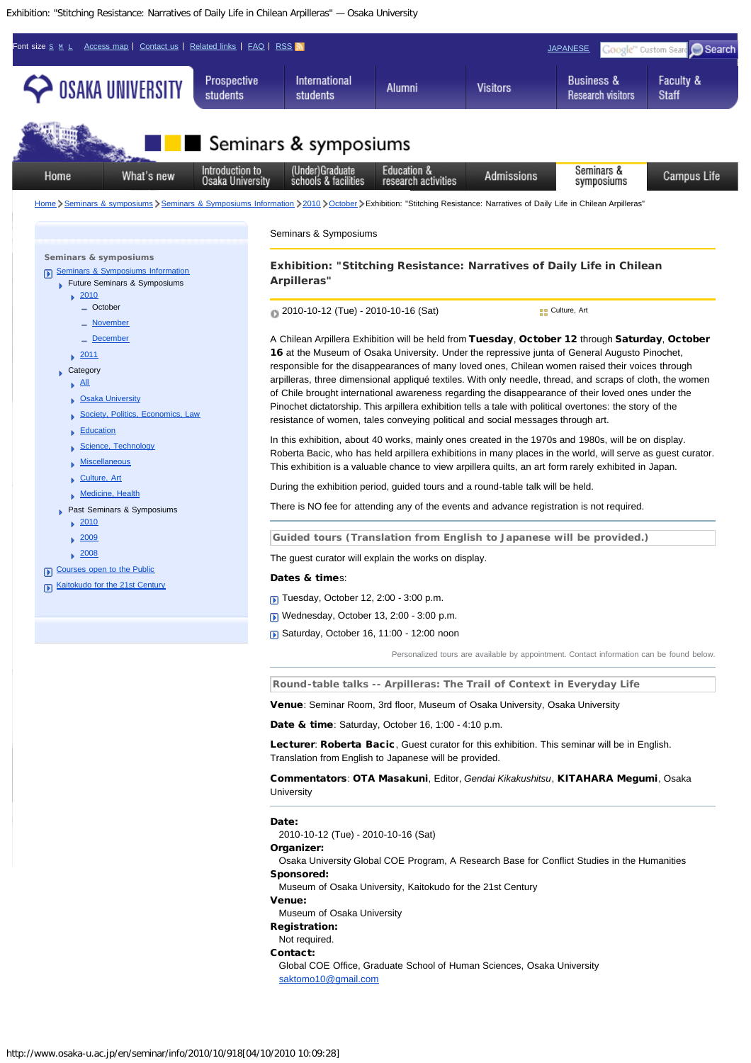Exhibition: "Stitching Resistance: Narratives of Daily Life in Chilean Arpilleras" — Osaka University



Organizer:

Osaka University Global COE Program, A Research Base for Conflict Studies in the Humanities Sponsored:

Museum of Osaka University, Kaitokudo for the 21st Century

Venue:

Museum of Osaka University

Registration:

Not required.

Contact:

Global COE Office, Graduate School of Human Sciences, Osaka University [saktomo10@gmail.com](mailto:saktomo10@gmail.com)